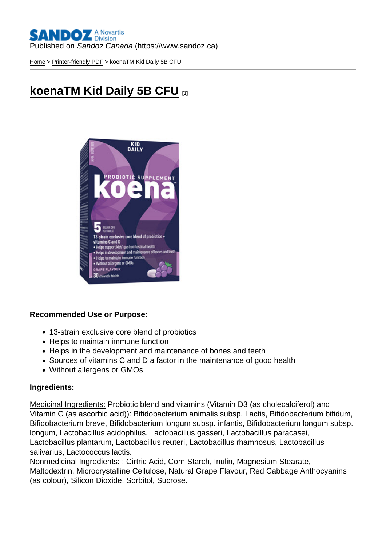Published on Sandoz Canada [\(https://www.sandoz.ca](https://www.sandoz.ca))

[Home](https://www.sandoz.ca/en) > [Printer-friendly PDF](https://www.sandoz.ca/en/printpdf) > koenaTM Kid Daily 5B CFU

# [koenaTM Kid Daily 5B CFU](https://www.sandoz.ca/en/koenatm-kid-daily-5b-cfu) [1]

Recommended Use or Purpose:

- 13-strain exclusive core blend of probiotics
- Helps to maintain immune function
- Helps in the development and maintenance of bones and teeth
- Sources of vitamins C and D a factor in the maintenance of good health
- Without allergens or GMOs

#### Ingredients:

Medicinal Ingredients: Probiotic blend and vitamins (Vitamin D3 (as cholecalciferol) and Vitamin C (as ascorbic acid)): Bifidobacterium animalis subsp. Lactis, Bifidobacterium bifidum, Bifidobacterium breve, Bifidobacterium longum subsp. infantis, Bifidobacterium longum subsp. longum, Lactobacillus acidophilus, Lactobacillus gasseri, Lactobacillus paracasei, Lactobacillus plantarum, Lactobacillus reuteri, Lactobacillus rhamnosus, Lactobacillus salivarius, Lactococcus lactis.

Nonmedicinal Ingredients: : Cirtric Acid, Corn Starch, Inulin, Magnesium Stearate, Maltodextrin, Microcrystalline Cellulose, Natural Grape Flavour, Red Cabbage Anthocyanins (as colour), Silicon Dioxide, Sorbitol, Sucrose.